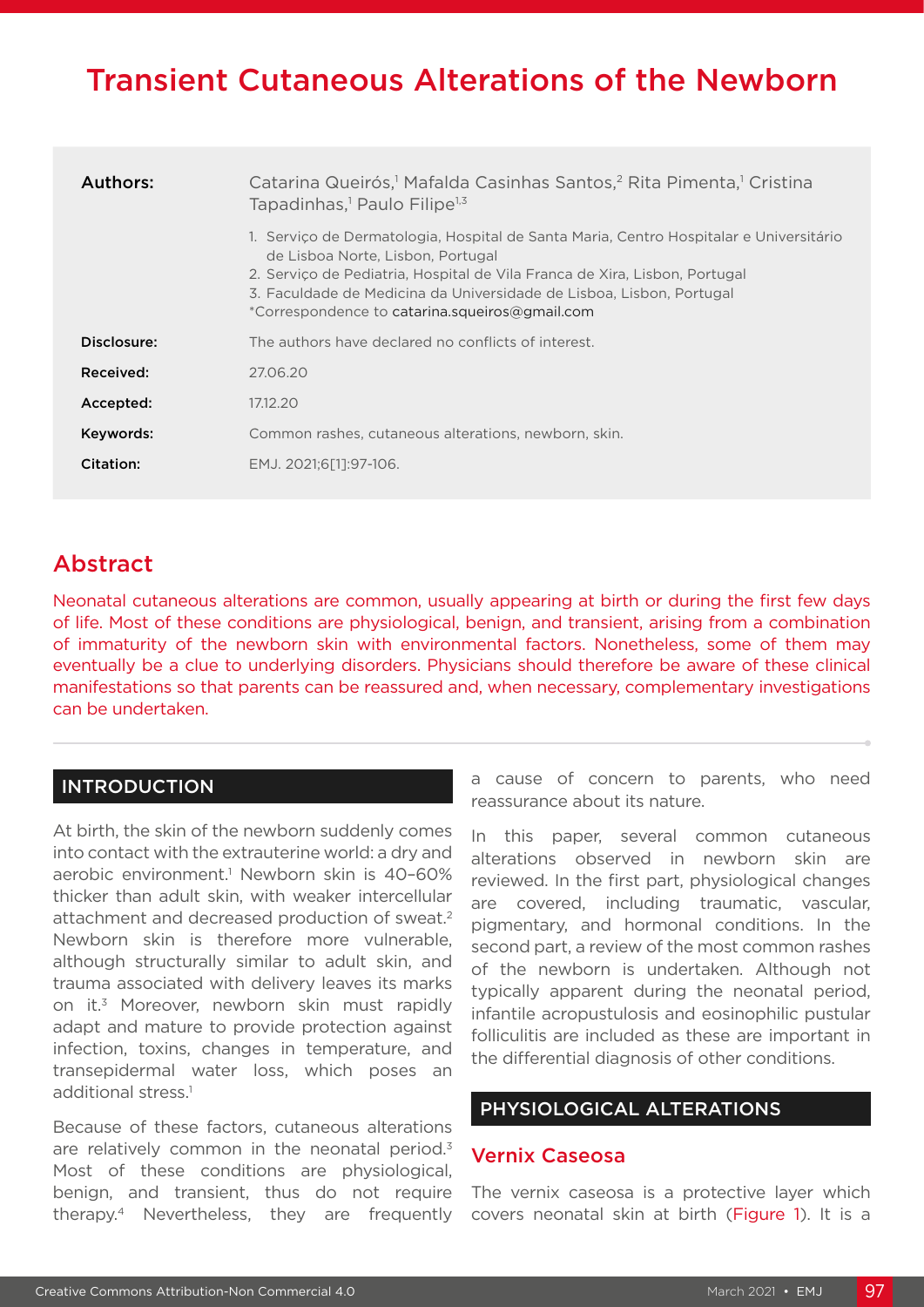# Transient Cutaneous Alterations of the Newborn

| Authors:    | Catarina Queirós, <sup>1</sup> Mafalda Casinhas Santos, <sup>2</sup> Rita Pimenta, <sup>1</sup> Cristina<br>Tapadinhas, <sup>1</sup> Paulo Filipe <sup>1,3</sup>                                                                                                                                                                    |
|-------------|-------------------------------------------------------------------------------------------------------------------------------------------------------------------------------------------------------------------------------------------------------------------------------------------------------------------------------------|
|             | 1. Servico de Dermatologia, Hospital de Santa Maria, Centro Hospitalar e Universitário<br>de Lisboa Norte, Lisbon, Portugal<br>2. Servico de Pediatria, Hospital de Vila Franca de Xira, Lisbon, Portugal<br>3. Faculdade de Medicina da Universidade de Lisboa, Lisbon, Portugal<br>*Correspondence to catarina.squeiros@gmail.com |
| Disclosure: | The authors have declared no conflicts of interest.                                                                                                                                                                                                                                                                                 |
| Received:   | 27.06.20                                                                                                                                                                                                                                                                                                                            |
| Accepted:   | 17.12.20                                                                                                                                                                                                                                                                                                                            |
| Keywords:   | Common rashes, cutaneous alterations, newborn, skin.                                                                                                                                                                                                                                                                                |
| Citation:   | EMJ. 2021:6[11:97-106.                                                                                                                                                                                                                                                                                                              |

# Abstract

Neonatal cutaneous alterations are common, usually appearing at birth or during the first few days of life. Most of these conditions are physiological, benign, and transient, arising from a combination of immaturity of the newborn skin with environmental factors. Nonetheless, some of them may eventually be a clue to underlying disorders. Physicians should therefore be aware of these clinical manifestations so that parents can be reassured and, when necessary, complementary investigations can be undertaken.

### INTRODUCTION

At birth, the skin of the newborn suddenly comes into contact with the extrauterine world: a dry and aerobic environment.<sup>1</sup> Newborn skin is 40-60% thicker than adult skin, with weaker intercellular attachment and decreased production of sweat.2 Newborn skin is therefore more vulnerable, although structurally similar to adult skin, and trauma associated with delivery leaves its marks on it.3 Moreover, newborn skin must rapidly adapt and mature to provide protection against infection, toxins, changes in temperature, and transepidermal water loss, which poses an additional stress.<sup>1</sup>

Because of these factors, cutaneous alterations are relatively common in the neonatal period.<sup>3</sup> Most of these conditions are physiological, benign, and transient, thus do not require therapy.4 Nevertheless, they are frequently

a cause of concern to parents, who need reassurance about its nature.

In this paper, several common cutaneous alterations observed in newborn skin are reviewed. In the first part, physiological changes are covered, including traumatic, vascular, pigmentary, and hormonal conditions. In the second part, a review of the most common rashes of the newborn is undertaken. Although not typically apparent during the neonatal period, infantile acropustulosis and eosinophilic pustular folliculitis are included as these are important in the differential diagnosis of other conditions.

# PHYSIOLOGICAL ALTERATIONS

#### Vernix Caseosa

The vernix caseosa is a protective layer which covers neonatal skin at birth (Figure 1). It is a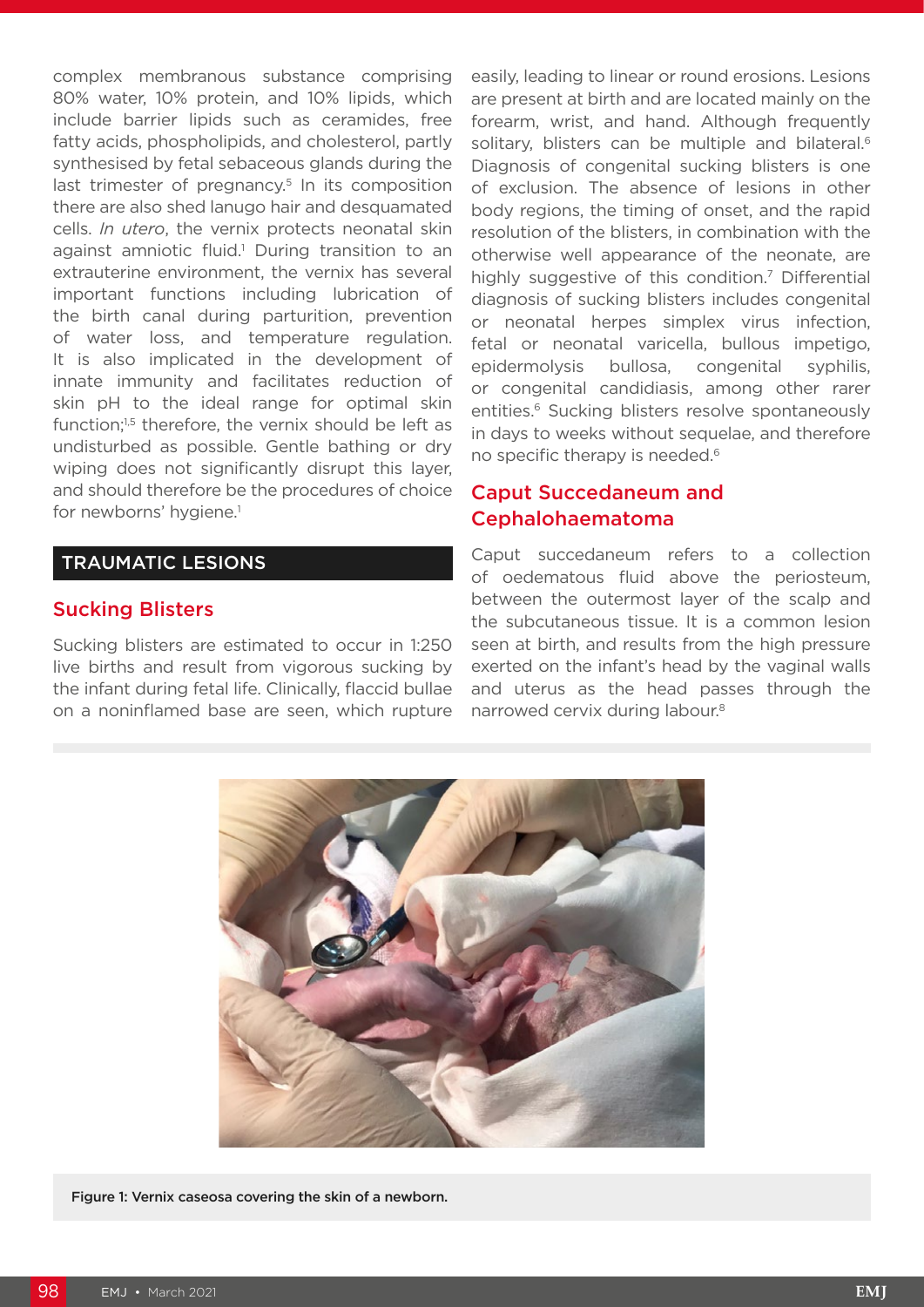complex membranous substance comprising 80% water, 10% protein, and 10% lipids, which include barrier lipids such as ceramides, free fatty acids, phospholipids, and cholesterol, partly synthesised by fetal sebaceous glands during the last trimester of pregnancy.<sup>5</sup> In its composition there are also shed lanugo hair and desquamated cells. *In utero*, the vernix protects neonatal skin against amniotic fluid.<sup>1</sup> During transition to an extrauterine environment, the vernix has several important functions including lubrication of the birth canal during parturition, prevention of water loss, and temperature regulation. It is also implicated in the development of innate immunity and facilitates reduction of skin pH to the ideal range for optimal skin function;<sup>1,5</sup> therefore, the vernix should be left as undisturbed as possible. Gentle bathing or dry wiping does not significantly disrupt this layer, and should therefore be the procedures of choice for newborns' hygiene.<sup>1</sup>

#### TRAUMATIC LESIONS

#### Sucking Blisters

Sucking blisters are estimated to occur in 1:250 live births and result from vigorous sucking by the infant during fetal life. Clinically, flaccid bullae on a noninflamed base are seen, which rupture easily, leading to linear or round erosions. Lesions are present at birth and are located mainly on the forearm, wrist, and hand. Although frequently solitary, blisters can be multiple and bilateral.<sup>6</sup> Diagnosis of congenital sucking blisters is one of exclusion. The absence of lesions in other body regions, the timing of onset, and the rapid resolution of the blisters, in combination with the otherwise well appearance of the neonate, are highly suggestive of this condition.<sup>7</sup> Differential diagnosis of sucking blisters includes congenital or neonatal herpes simplex virus infection, fetal or neonatal varicella, bullous impetigo, epidermolysis bullosa, congenital syphilis, or congenital candidiasis, among other rarer entities.<sup>6</sup> Sucking blisters resolve spontaneously in days to weeks without sequelae, and therefore no specific therapy is needed.<sup>6</sup>

### Caput Succedaneum and Cephalohaematoma

Caput succedaneum refers to a collection of oedematous fluid above the periosteum, between the outermost layer of the scalp and the subcutaneous tissue. It is a common lesion seen at birth, and results from the high pressure exerted on the infant's head by the vaginal walls and uterus as the head passes through the narrowed cervix during labour.8



Figure 1: Vernix caseosa covering the skin of a newborn.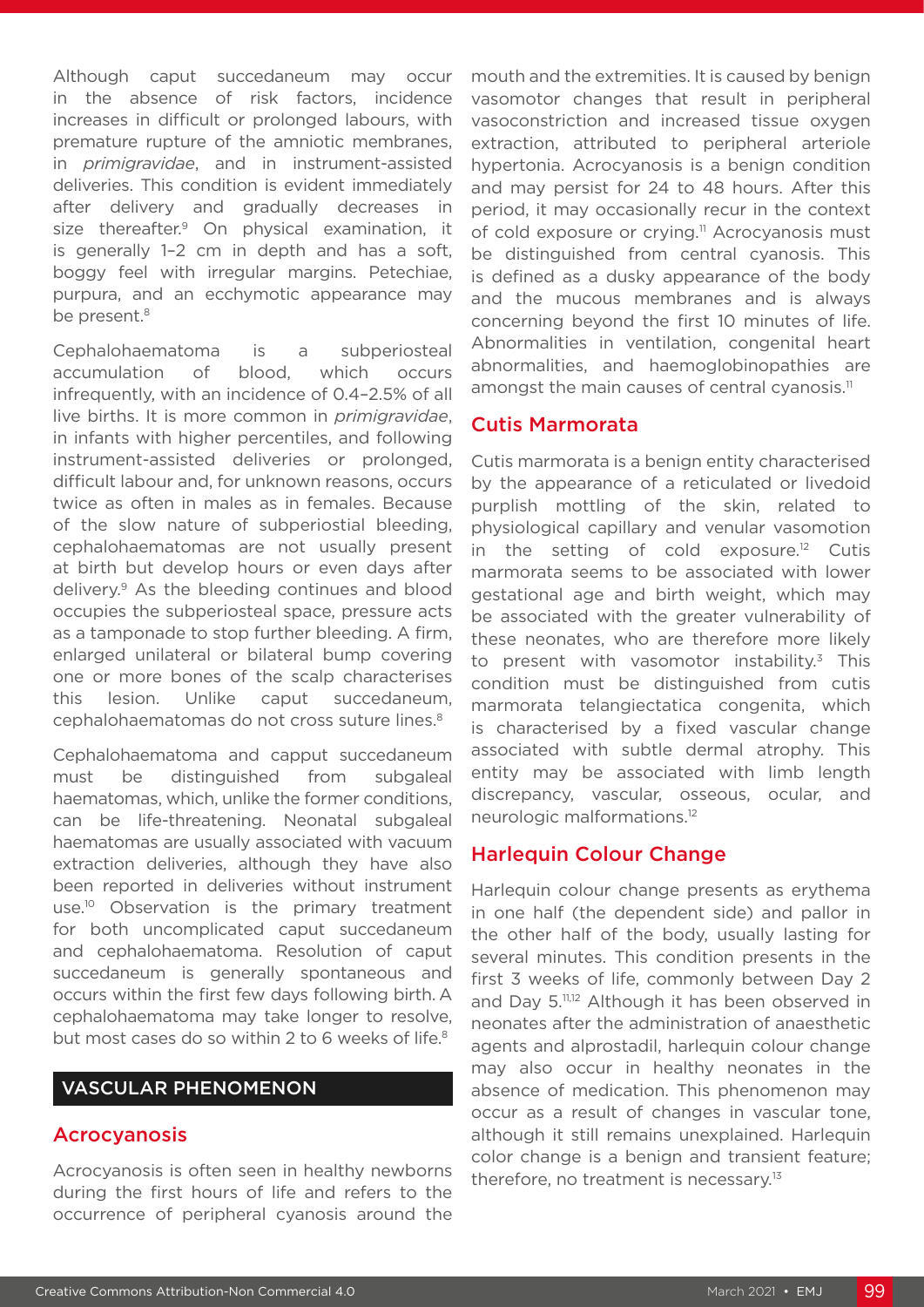Although caput succedaneum may occur in the absence of risk factors, incidence increases in difficult or prolonged labours, with premature rupture of the amniotic membranes, in *primigravidae*, and in instrument-assisted deliveries. This condition is evident immediately after delivery and gradually decreases in size thereafter.<sup>9</sup> On physical examination, it is generally 1–2 cm in depth and has a soft, boggy feel with irregular margins. Petechiae, purpura, and an ecchymotic appearance may be present.<sup>8</sup>

Cephalohaematoma is a subperiosteal accumulation of blood, which occurs infrequently, with an incidence of 0.4–2.5% of all live births. It is more common in *primigravidae*, in infants with higher percentiles, and following instrument-assisted deliveries or prolonged, difficult labour and, for unknown reasons, occurs twice as often in males as in females. Because of the slow nature of subperiostial bleeding, cephalohaematomas are not usually present at birth but develop hours or even days after delivery.9 As the bleeding continues and blood occupies the subperiosteal space, pressure acts as a tamponade to stop further bleeding. A firm, enlarged unilateral or bilateral bump covering one or more bones of the scalp characterises this lesion. Unlike caput succedaneum, cephalohaematomas do not cross suture lines.8

Cephalohaematoma and capput succedaneum must be distinguished from subgaleal haematomas, which, unlike the former conditions, can be life-threatening. Neonatal subgaleal haematomas are usually associated with vacuum extraction deliveries, although they have also been reported in deliveries without instrument use.<sup>10</sup> Observation is the primary treatment for both uncomplicated caput succedaneum and cephalohaematoma. Resolution of caput succedaneum is generally spontaneous and occurs within the first few days following birth. A cephalohaematoma may take longer to resolve, but most cases do so within 2 to 6 weeks of life.<sup>8</sup>

#### VASCULAR PHENOMENON

#### Acrocyanosis

Acrocyanosis is often seen in healthy newborns during the first hours of life and refers to the occurrence of peripheral cyanosis around the

mouth and the extremities. It is caused by benign vasomotor changes that result in peripheral vasoconstriction and increased tissue oxygen extraction, attributed to peripheral arteriole hypertonia. Acrocyanosis is a benign condition and may persist for 24 to 48 hours. After this period, it may occasionally recur in the context of cold exposure or crying.<sup>11</sup> Acrocyanosis must be distinguished from central cyanosis. This is defined as a dusky appearance of the body and the mucous membranes and is always concerning beyond the first 10 minutes of life. Abnormalities in ventilation, congenital heart abnormalities, and haemoglobinopathies are amongst the main causes of central cyanosis.<sup>11</sup>

#### Cutis Marmorata

Cutis marmorata is a benign entity characterised by the appearance of a reticulated or livedoid purplish mottling of the skin, related to physiological capillary and venular vasomotion in the setting of cold exposure.<sup>12</sup> Cutis marmorata seems to be associated with lower gestational age and birth weight, which may be associated with the greater vulnerability of these neonates, who are therefore more likely to present with vasomotor instability. $3$  This condition must be distinguished from cutis marmorata telangiectatica congenita, which is characterised by a fixed vascular change associated with subtle dermal atrophy. This entity may be associated with limb length discrepancy, vascular, osseous, ocular, and neurologic malformations.12

### Harlequin Colour Change

Harlequin colour change presents as erythema in one half (the dependent side) and pallor in the other half of the body, usually lasting for several minutes. This condition presents in the first 3 weeks of life, commonly between Day 2 and Day 5.<sup>11,12</sup> Although it has been observed in neonates after the administration of anaesthetic agents and alprostadil, harlequin colour change may also occur in healthy neonates in the absence of medication. This phenomenon may occur as a result of changes in vascular tone, although it still remains unexplained. Harlequin color change is a benign and transient feature; therefore, no treatment is necessary.13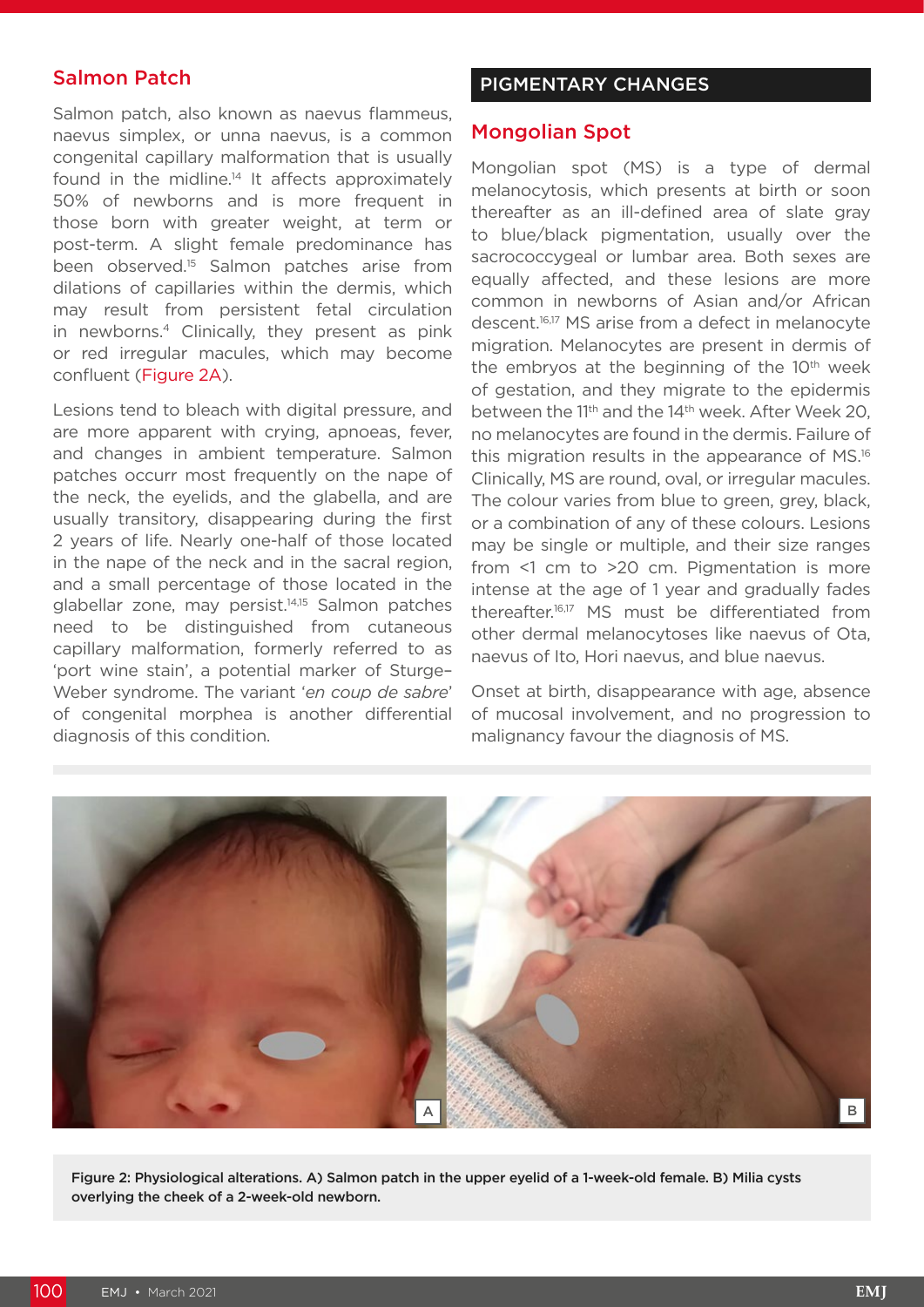## Salmon Patch

Salmon patch, also known as naevus flammeus, naevus simplex, or unna naevus, is a common congenital capillary malformation that is usually found in the midline.<sup>14</sup> It affects approximately 50% of newborns and is more frequent in those born with greater weight, at term or post-term. A slight female predominance has been observed.<sup>15</sup> Salmon patches arise from dilations of capillaries within the dermis, which may result from persistent fetal circulation in newborns.4 Clinically, they present as pink or red irregular macules, which may become confluent (Figure 2A).

Lesions tend to bleach with digital pressure, and are more apparent with crying, apnoeas, fever, and changes in ambient temperature. Salmon patches occurr most frequently on the nape of the neck, the eyelids, and the glabella, and are usually transitory, disappearing during the first 2 years of life. Nearly one-half of those located in the nape of the neck and in the sacral region, and a small percentage of those located in the glabellar zone, may persist.<sup>14,15</sup> Salmon patches need to be distinguished from cutaneous capillary malformation, formerly referred to as 'port wine stain', a potential marker of Sturge– Weber syndrome. The variant '*en coup de sabre*' of congenital morphea is another differential diagnosis of this condition.

#### PIGMENTARY CHANGES

#### Mongolian Spot

Mongolian spot (MS) is a type of dermal melanocytosis, which presents at birth or soon thereafter as an ill-defined area of slate gray to blue/black pigmentation, usually over the sacrococcygeal or lumbar area. Both sexes are equally affected, and these lesions are more common in newborns of Asian and/or African descent.<sup>16,17</sup> MS arise from a defect in melanocyte migration. Melanocytes are present in dermis of the embryos at the beginning of the  $10<sup>th</sup>$  week of gestation, and they migrate to the epidermis between the 11<sup>th</sup> and the 14<sup>th</sup> week. After Week 20, no melanocytes are found in the dermis. Failure of this migration results in the appearance of MS.16 Clinically, MS are round, oval, or irregular macules. The colour varies from blue to green, grey, black, or a combination of any of these colours. Lesions may be single or multiple, and their size ranges from <1 cm to >20 cm. Pigmentation is more intense at the age of 1 year and gradually fades thereafter.16,17 MS must be differentiated from other dermal melanocytoses like naevus of Ota, naevus of Ito, Hori naevus, and blue naevus.

Onset at birth, disappearance with age, absence of mucosal involvement, and no progression to malignancy favour the diagnosis of MS.



Figure 2: Physiological alterations. A) Salmon patch in the upper eyelid of a 1-week-old female. B) Milia cysts overlying the cheek of a 2-week-old newborn.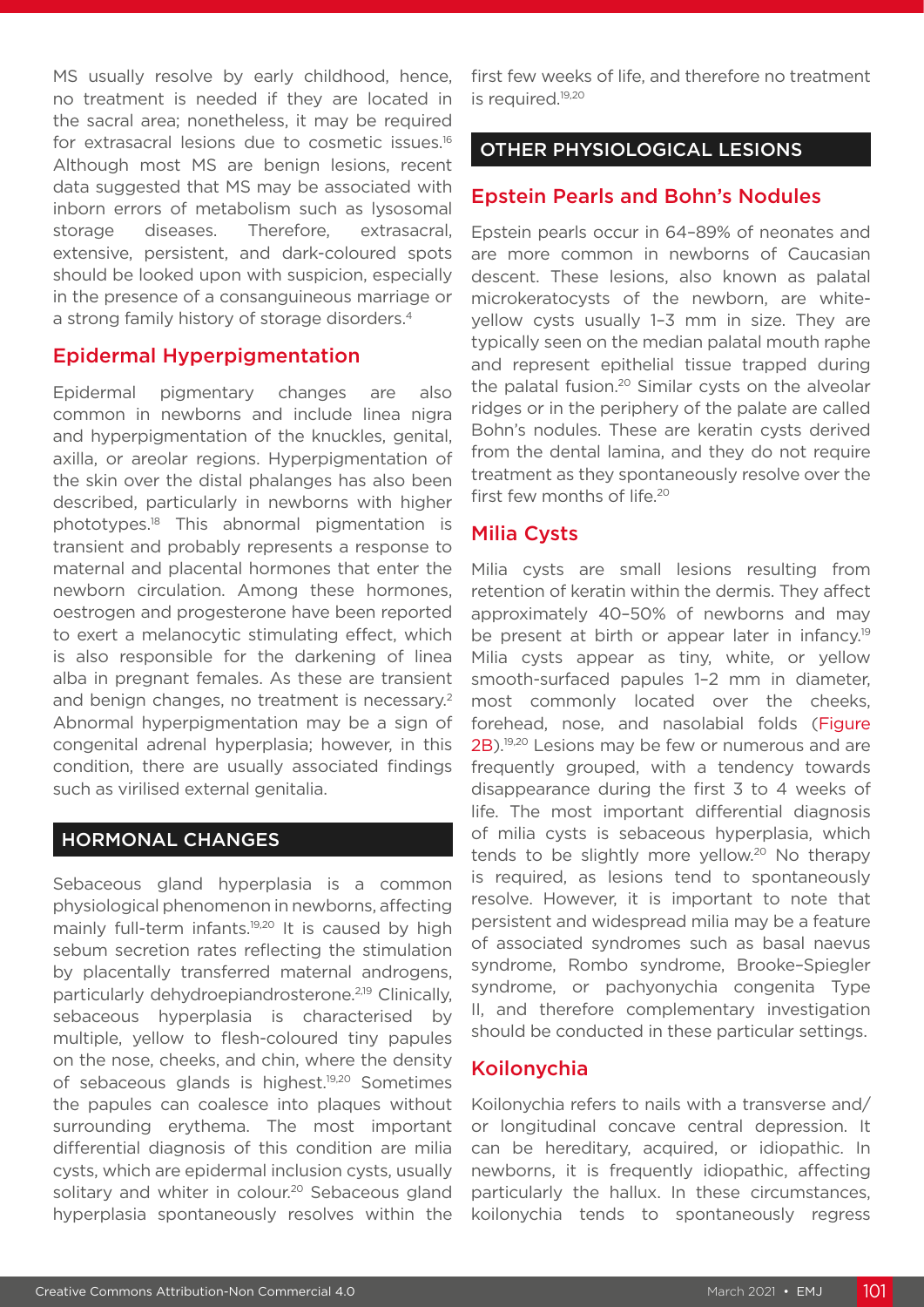MS usually resolve by early childhood, hence, no treatment is needed if they are located in the sacral area; nonetheless, it may be required for extrasacral lesions due to cosmetic issues.16 Although most MS are benign lesions, recent data suggested that MS may be associated with inborn errors of metabolism such as lysosomal storage diseases. Therefore, extrasacral, extensive, persistent, and dark-coloured spots should be looked upon with suspicion, especially in the presence of a consanguineous marriage or a strong family history of storage disorders.<sup>4</sup>

### Epidermal Hyperpigmentation

Epidermal pigmentary changes are also common in newborns and include linea nigra and hyperpigmentation of the knuckles, genital, axilla, or areolar regions. Hyperpigmentation of the skin over the distal phalanges has also been described, particularly in newborns with higher phototypes.18 This abnormal pigmentation is transient and probably represents a response to maternal and placental hormones that enter the newborn circulation. Among these hormones, oestrogen and progesterone have been reported to exert a melanocytic stimulating effect, which is also responsible for the darkening of linea alba in pregnant females. As these are transient and benign changes, no treatment is necessary.<sup>2</sup> Abnormal hyperpigmentation may be a sign of congenital adrenal hyperplasia; however, in this condition, there are usually associated findings such as virilised external genitalia.

### HORMONAL CHANGES

Sebaceous gland hyperplasia is a common physiological phenomenon in newborns, affecting mainly full-term infants.19,20 It is caused by high sebum secretion rates reflecting the stimulation by placentally transferred maternal androgens, particularly dehydroepiandrosterone.2,19 Clinically, sebaceous hyperplasia is characterised by multiple, yellow to flesh-coloured tiny papules on the nose, cheeks, and chin, where the density of sebaceous glands is highest.19,20 Sometimes the papules can coalesce into plaques without surrounding erythema. The most important differential diagnosis of this condition are milia cysts, which are epidermal inclusion cysts, usually solitary and whiter in colour.<sup>20</sup> Sebaceous gland hyperplasia spontaneously resolves within the

first few weeks of life, and therefore no treatment is required.<sup>19,20</sup>

## OTHER PHYSIOLOGICAL LESIONS

#### Epstein Pearls and Bohn's Nodules

Epstein pearls occur in 64–89% of neonates and are more common in newborns of Caucasian descent. These lesions, also known as palatal microkeratocysts of the newborn, are whiteyellow cysts usually 1–3 mm in size. They are typically seen on the median palatal mouth raphe and represent epithelial tissue trapped during the palatal fusion.<sup>20</sup> Similar cysts on the alveolar ridges or in the periphery of the palate are called Bohn's nodules. These are keratin cysts derived from the dental lamina, and they do not require treatment as they spontaneously resolve over the first few months of life.<sup>20</sup>

### Milia Cysts

Milia cysts are small lesions resulting from retention of keratin within the dermis. They affect approximately 40–50% of newborns and may be present at birth or appear later in infancy.<sup>19</sup> Milia cysts appear as tiny, white, or yellow smooth-surfaced papules 1–2 mm in diameter, most commonly located over the cheeks, forehead, nose, and nasolabial folds (Figure 2B).<sup>19,20</sup> Lesions may be few or numerous and are frequently grouped, with a tendency towards disappearance during the first 3 to 4 weeks of life. The most important differential diagnosis of milia cysts is sebaceous hyperplasia, which tends to be slightly more yellow.<sup>20</sup> No therapy is required, as lesions tend to spontaneously resolve. However, it is important to note that persistent and widespread milia may be a feature of associated syndromes such as basal naevus syndrome, Rombo syndrome, Brooke–Spiegler syndrome, or pachyonychia congenita Type II, and therefore complementary investigation should be conducted in these particular settings.

#### Koilonychia

Koilonychia refers to nails with a transverse and/ or longitudinal concave central depression. It can be hereditary, acquired, or idiopathic. In newborns, it is frequently idiopathic, affecting particularly the hallux. In these circumstances, koilonychia tends to spontaneously regress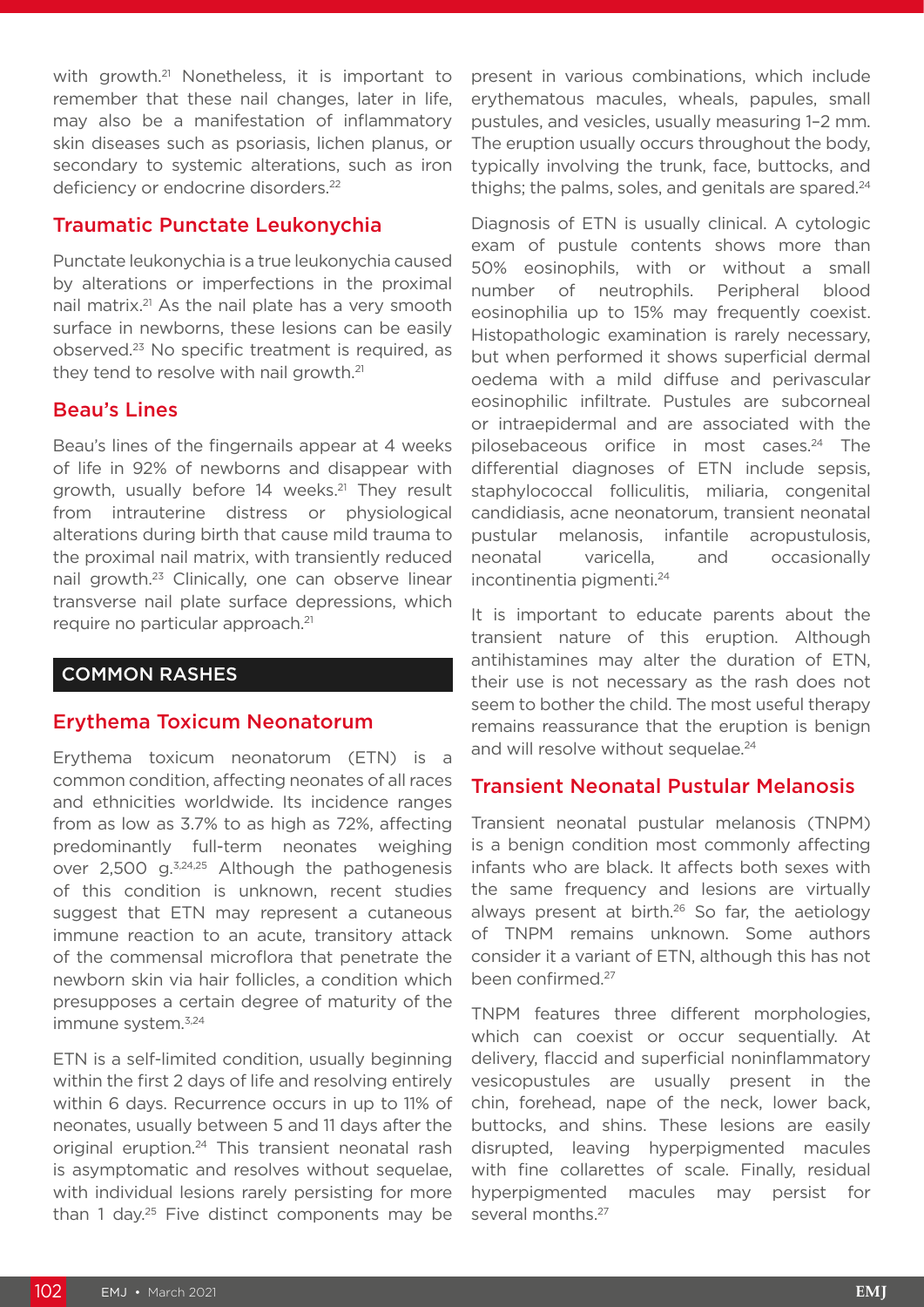with growth.<sup>21</sup> Nonetheless, it is important to remember that these nail changes, later in life, may also be a manifestation of inflammatory skin diseases such as psoriasis, lichen planus, or secondary to systemic alterations, such as iron deficiency or endocrine disorders.<sup>22</sup>

#### Traumatic Punctate Leukonychia

Punctate leukonychia is a true leukonychia caused by alterations or imperfections in the proximal nail matrix.21 As the nail plate has a very smooth surface in newborns, these lesions can be easily observed.23 No specific treatment is required, as they tend to resolve with nail growth.<sup>21</sup>

#### Beau's Lines

Beau's lines of the fingernails appear at 4 weeks of life in 92% of newborns and disappear with growth, usually before 14 weeks.<sup>21</sup> They result from intrauterine distress or physiological alterations during birth that cause mild trauma to the proximal nail matrix, with transiently reduced nail growth.23 Clinically, one can observe linear transverse nail plate surface depressions, which require no particular approach.21

### COMMON RASHES

#### Erythema Toxicum Neonatorum

Erythema toxicum neonatorum (ETN) is a common condition, affecting neonates of all races and ethnicities worldwide. Its incidence ranges from as low as 3.7% to as high as 72%, affecting predominantly full-term neonates weighing over 2,500 g.3,24,25 Although the pathogenesis of this condition is unknown, recent studies suggest that ETN may represent a cutaneous immune reaction to an acute, transitory attack of the commensal microflora that penetrate the newborn skin via hair follicles, a condition which presupposes a certain degree of maturity of the immune system.<sup>3,24</sup>

ETN is a self-limited condition, usually beginning within the first 2 days of life and resolving entirely within 6 days. Recurrence occurs in up to 11% of neonates, usually between 5 and 11 days after the original eruption.24 This transient neonatal rash is asymptomatic and resolves without sequelae, with individual lesions rarely persisting for more than 1 day.<sup>25</sup> Five distinct components may be

present in various combinations, which include erythematous macules, wheals, papules, small pustules, and vesicles, usually measuring 1–2 mm. The eruption usually occurs throughout the body, typically involving the trunk, face, buttocks, and thighs; the palms, soles, and genitals are spared.<sup>24</sup>

Diagnosis of ETN is usually clinical. A cytologic exam of pustule contents shows more than 50% eosinophils, with or without a small number of neutrophils. Peripheral blood eosinophilia up to 15% may frequently coexist. Histopathologic examination is rarely necessary, but when performed it shows superficial dermal oedema with a mild diffuse and perivascular eosinophilic infiltrate. Pustules are subcorneal or intraepidermal and are associated with the pilosebaceous orifice in most cases.<sup>24</sup> The differential diagnoses of ETN include sepsis, staphylococcal folliculitis, miliaria, congenital candidiasis, acne neonatorum, transient neonatal pustular melanosis, infantile acropustulosis, neonatal varicella, and occasionally incontinentia pigmenti.24

It is important to educate parents about the transient nature of this eruption. Although antihistamines may alter the duration of ETN, their use is not necessary as the rash does not seem to bother the child. The most useful therapy remains reassurance that the eruption is benign and will resolve without sequelae.<sup>24</sup>

#### Transient Neonatal Pustular Melanosis

Transient neonatal pustular melanosis (TNPM) is a benign condition most commonly affecting infants who are black. It affects both sexes with the same frequency and lesions are virtually always present at birth.<sup>26</sup> So far, the aetiology of TNPM remains unknown. Some authors consider it a variant of ETN, although this has not been confirmed.<sup>27</sup>

TNPM features three different morphologies, which can coexist or occur sequentially. At delivery, flaccid and superficial noninflammatory vesicopustules are usually present in the chin, forehead, nape of the neck, lower back, buttocks, and shins. These lesions are easily disrupted, leaving hyperpigmented macules with fine collarettes of scale. Finally, residual hyperpigmented macules may persist for several months.<sup>27</sup>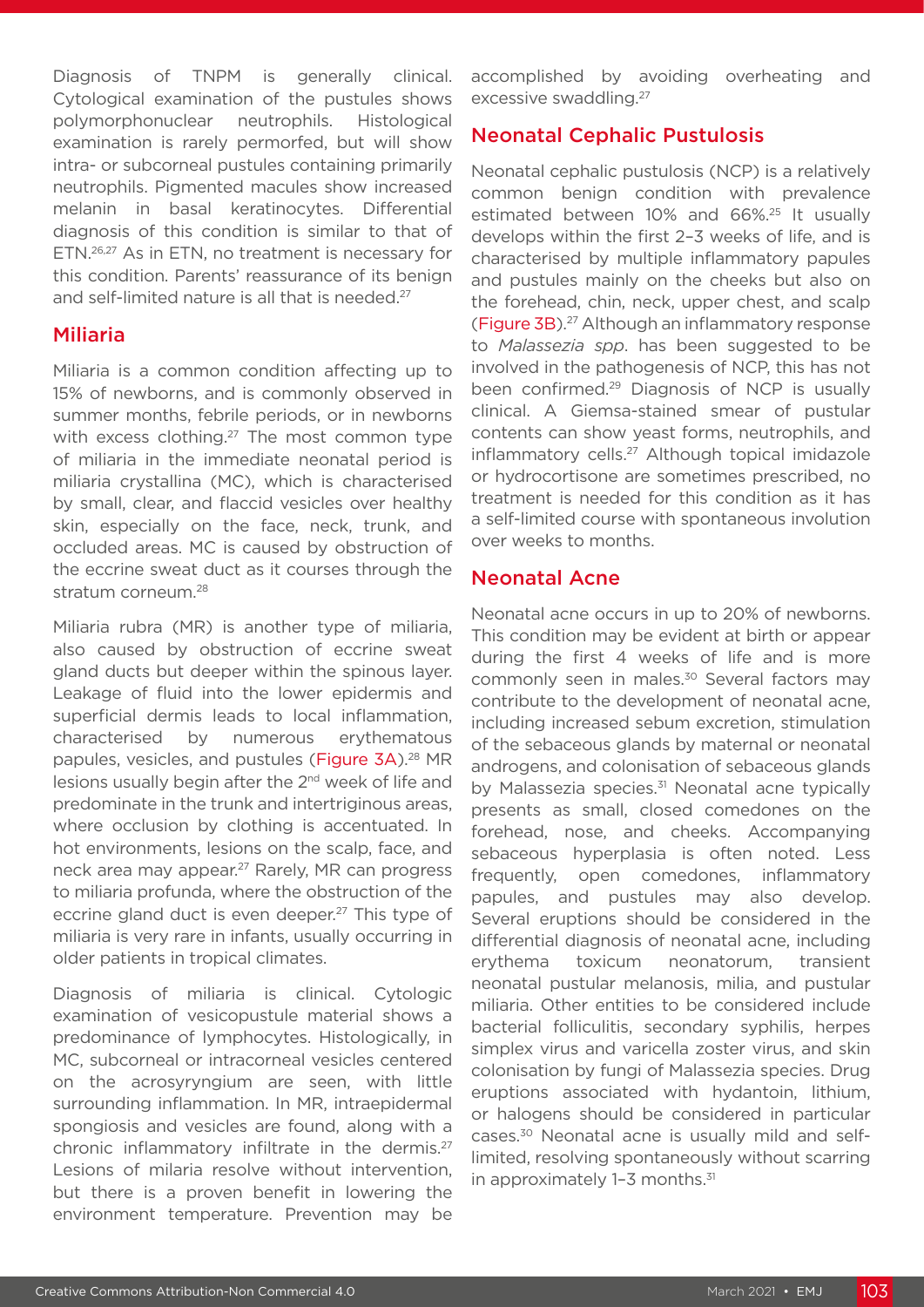Diagnosis of TNPM is generally clinical. Cytological examination of the pustules shows polymorphonuclear neutrophils. Histological examination is rarely permorfed, but will show intra- or subcorneal pustules containing primarily neutrophils. Pigmented macules show increased melanin in basal keratinocytes. Differential diagnosis of this condition is similar to that of ETN.26,27 As in ETN, no treatment is necessary for this condition. Parents' reassurance of its benign and self-limited nature is all that is needed.<sup>27</sup>

#### Miliaria

Miliaria is a common condition affecting up to 15% of newborns, and is commonly observed in summer months, febrile periods, or in newborns with excess clothing.<sup>27</sup> The most common type of miliaria in the immediate neonatal period is miliaria crystallina (MC), which is characterised by small, clear, and flaccid vesicles over healthy skin, especially on the face, neck, trunk, and occluded areas. MC is caused by obstruction of the eccrine sweat duct as it courses through the stratum corneum.<sup>28</sup>

Miliaria rubra (MR) is another type of miliaria, also caused by obstruction of eccrine sweat gland ducts but deeper within the spinous layer. Leakage of fluid into the lower epidermis and superficial dermis leads to local inflammation, characterised by numerous erythematous papules, vesicles, and pustules (Figure 3A).<sup>28</sup> MR lesions usually begin after the 2<sup>nd</sup> week of life and predominate in the trunk and intertriginous areas, where occlusion by clothing is accentuated. In hot environments, lesions on the scalp, face, and neck area may appear.27 Rarely, MR can progress to miliaria profunda, where the obstruction of the eccrine gland duct is even deeper.<sup>27</sup> This type of miliaria is very rare in infants, usually occurring in older patients in tropical climates.

Diagnosis of miliaria is clinical. Cytologic examination of vesicopustule material shows a predominance of lymphocytes. Histologically, in MC, subcorneal or intracorneal vesicles centered on the acrosyryngium are seen, with little surrounding inflammation. In MR, intraepidermal spongiosis and vesicles are found, along with a chronic inflammatory infiltrate in the dermis.27 Lesions of milaria resolve without intervention, but there is a proven benefit in lowering the environment temperature. Prevention may be

accomplished by avoiding overheating and excessive swaddling.27

## Neonatal Cephalic Pustulosis

Neonatal cephalic pustulosis (NCP) is a relatively common benign condition with prevalence estimated between 10% and 66%.25 It usually develops within the first 2–3 weeks of life, and is characterised by multiple inflammatory papules and pustules mainly on the cheeks but also on the forehead, chin, neck, upper chest, and scalp (Figure 3B).27 Although an inflammatory response to *Malassezia spp*. has been suggested to be involved in the pathogenesis of NCP, this has not been confirmed.<sup>29</sup> Diagnosis of NCP is usually clinical. A Giemsa-stained smear of pustular contents can show yeast forms, neutrophils, and inflammatory cells.<sup>27</sup> Although topical imidazole or hydrocortisone are sometimes prescribed, no treatment is needed for this condition as it has a self-limited course with spontaneous involution over weeks to months.

#### Neonatal Acne

Neonatal acne occurs in up to 20% of newborns. This condition may be evident at birth or appear during the first 4 weeks of life and is more commonly seen in males.<sup>30</sup> Several factors may contribute to the development of neonatal acne, including increased sebum excretion, stimulation of the sebaceous glands by maternal or neonatal androgens, and colonisation of sebaceous glands by Malassezia species.<sup>31</sup> Neonatal acne typically presents as small, closed comedones on the forehead, nose, and cheeks. Accompanying sebaceous hyperplasia is often noted. Less frequently, open comedones, inflammatory papules, and pustules may also develop. Several eruptions should be considered in the differential diagnosis of neonatal acne, including erythema toxicum neonatorum, transient neonatal pustular melanosis, milia, and pustular miliaria. Other entities to be considered include bacterial folliculitis, secondary syphilis, herpes simplex virus and varicella zoster virus, and skin colonisation by fungi of Malassezia species. Drug eruptions associated with hydantoin, lithium, or halogens should be considered in particular cases.30 Neonatal acne is usually mild and selflimited, resolving spontaneously without scarring in approximately 1-3 months.<sup>31</sup>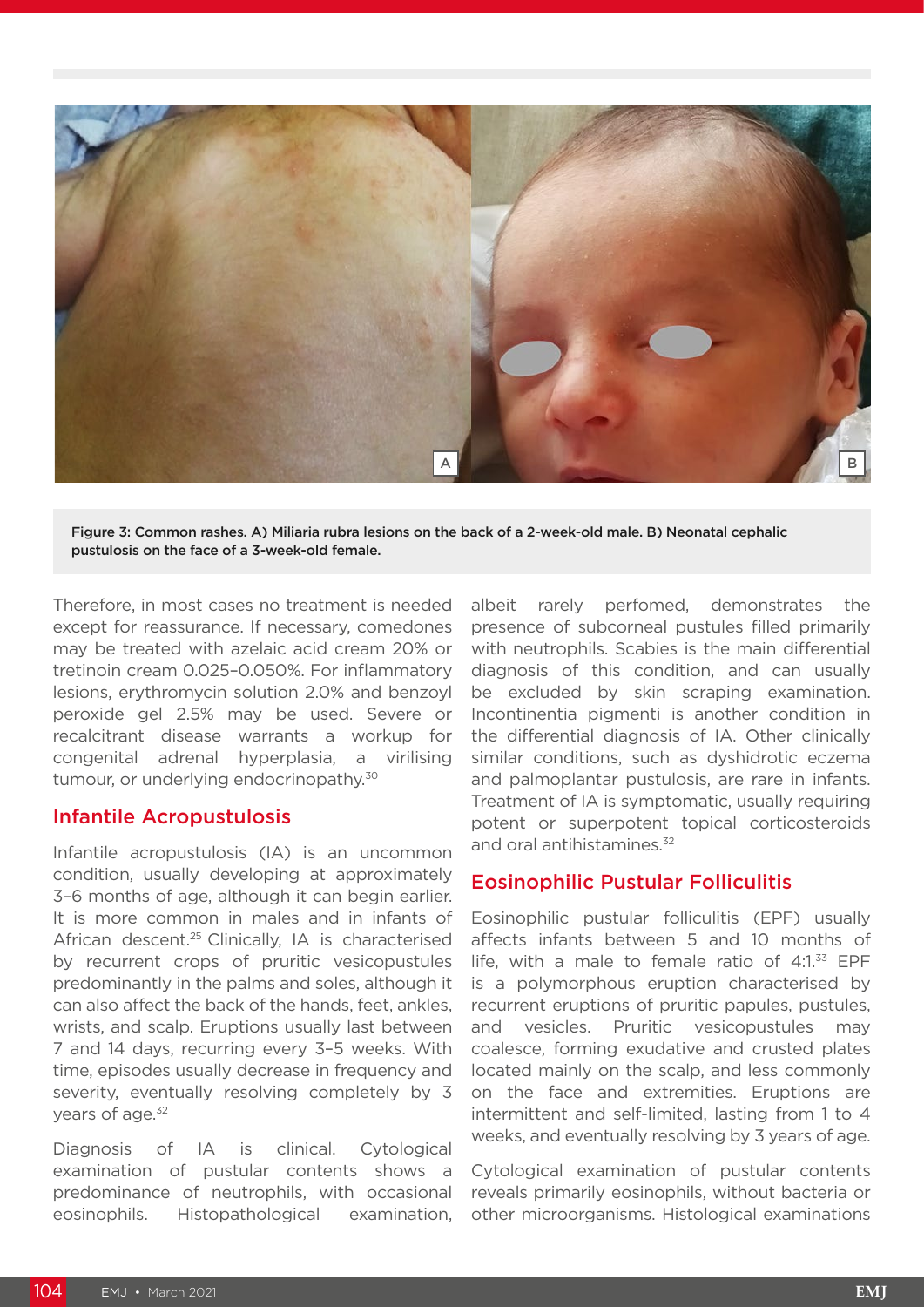

Figure 3: Common rashes. A) Miliaria rubra lesions on the back of a 2-week-old male. B) Neonatal cephalic pustulosis on the face of a 3-week-old female.

Therefore, in most cases no treatment is needed except for reassurance. If necessary, comedones may be treated with azelaic acid cream 20% or tretinoin cream 0.025–0.050%. For inflammatory lesions, erythromycin solution 2.0% and benzoyl peroxide gel 2.5% may be used. Severe or recalcitrant disease warrants a workup for congenital adrenal hyperplasia, a virilising tumour, or underlying endocrinopathy.<sup>30</sup>

#### Infantile Acropustulosis

Infantile acropustulosis (IA) is an uncommon condition, usually developing at approximately 3–6 months of age, although it can begin earlier. It is more common in males and in infants of African descent.<sup>25</sup> Clinically, IA is characterised by recurrent crops of pruritic vesicopustules predominantly in the palms and soles, although it can also affect the back of the hands, feet, ankles, wrists, and scalp. Eruptions usually last between 7 and 14 days, recurring every 3–5 weeks. With time, episodes usually decrease in frequency and severity, eventually resolving completely by 3 years of age.<sup>32</sup>

Diagnosis of IA is clinical. Cytological examination of pustular contents shows a predominance of neutrophils, with occasional eosinophils. Histopathological examination, albeit rarely perfomed, demonstrates the presence of subcorneal pustules filled primarily with neutrophils. Scabies is the main differential diagnosis of this condition, and can usually be excluded by skin scraping examination. Incontinentia pigmenti is another condition in the differential diagnosis of IA. Other clinically similar conditions, such as dyshidrotic eczema and palmoplantar pustulosis, are rare in infants. Treatment of IA is symptomatic, usually requiring potent or superpotent topical corticosteroids and oral antihistamines.<sup>32</sup>

#### Eosinophilic Pustular Folliculitis

Eosinophilic pustular folliculitis (EPF) usually affects infants between 5 and 10 months of life, with a male to female ratio of  $4:1.^{33}$  EPF is a polymorphous eruption characterised by recurrent eruptions of pruritic papules, pustules, and vesicles. Pruritic vesicopustules may coalesce, forming exudative and crusted plates located mainly on the scalp, and less commonly on the face and extremities. Eruptions are intermittent and self-limited, lasting from 1 to 4 weeks, and eventually resolving by 3 years of age.

Cytological examination of pustular contents reveals primarily eosinophils, without bacteria or other microorganisms. Histological examinations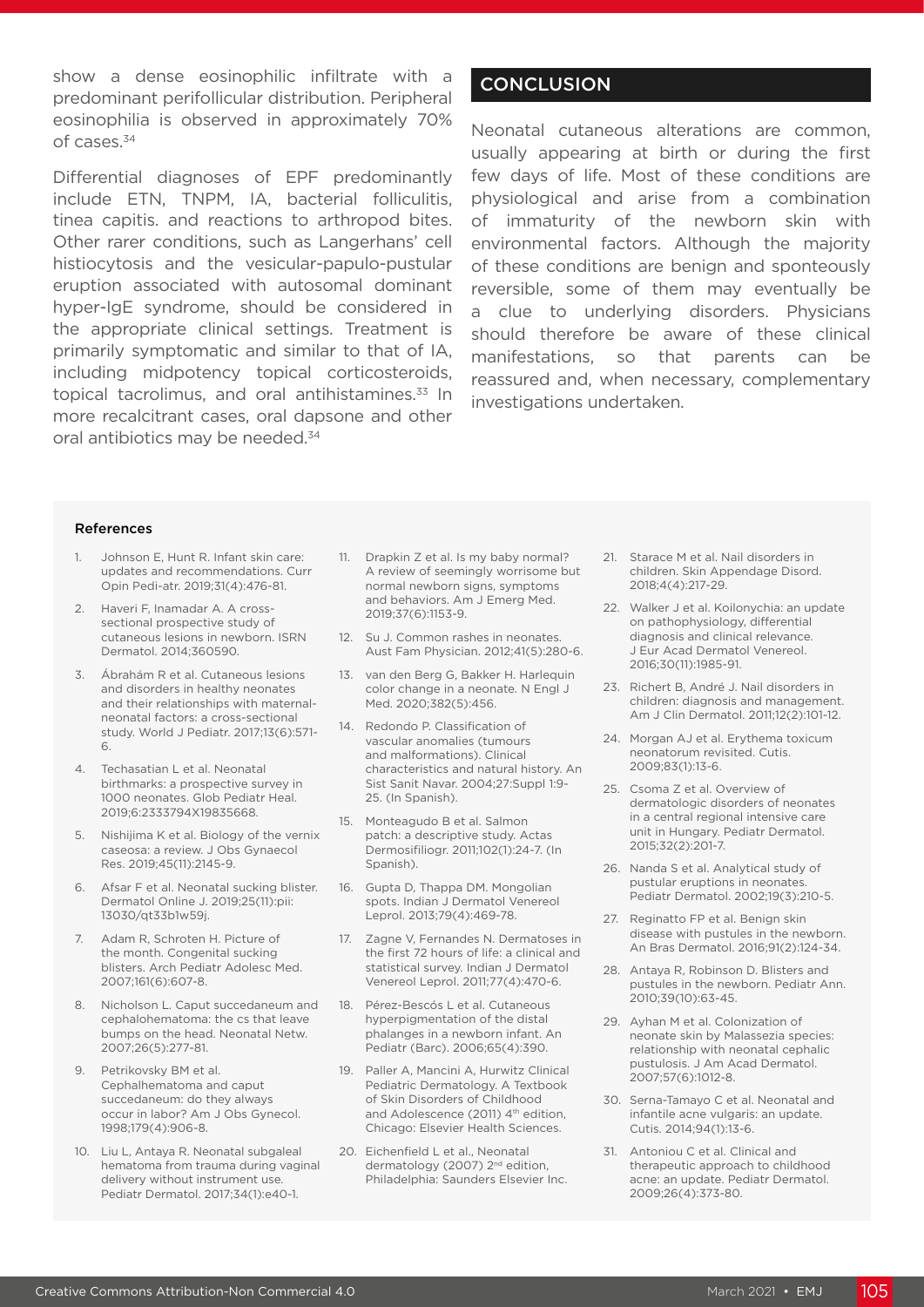show a dense eosinophilic infiltrate with a predominant perifollicular distribution. Peripheral eosinophilia is observed in approximately 70% of cases.34

Differential diagnoses of EPF predominantly include ETN, TNPM, IA, bacterial folliculitis, tinea capitis. and reactions to arthropod bites. Other rarer conditions, such as Langerhans' cell histiocytosis and the vesicular-papulo-pustular eruption associated with autosomal dominant hyper-IgE syndrome, should be considered in the appropriate clinical settings. Treatment is primarily symptomatic and similar to that of IA, including midpotency topical corticosteroids, topical tacrolimus, and oral antihistamines.<sup>33</sup> In more recalcitrant cases, oral dapsone and other oral antibiotics may be needed.34

## **CONCLUSION**

Neonatal cutaneous alterations are common, usually appearing at birth or during the first few days of life. Most of these conditions are physiological and arise from a combination of immaturity of the newborn skin with environmental factors. Although the majority of these conditions are benign and sponteously reversible, some of them may eventually be a clue to underlying disorders. Physicians should therefore be aware of these clinical manifestations, so that parents can be reassured and, when necessary, complementary investigations undertaken.

#### References

- Johnson E, Hunt R, Infant skin care: updates and recommendations. Curr Opin Pedi-atr. 2019;31(4):476-81.
- 2. Haveri F, Inamadar A. A crosssectional prospective study of cutaneous lesions in newborn. ISRN Dermatol. 2014;360590.
- 3. Ábrahám R et al. Cutaneous lesions and disorders in healthy neonates and their relationships with maternalneonatal factors: a cross-sectional study. World J Pediatr. 2017;13(6):571- 6.
- 4. Techasatian L et al. Neonatal birthmarks: a prospective survey in 1000 neonates. Glob Pediatr Heal. 2019;6:2333794X19835668.
- Nishijima K et al. Biology of the vernix caseosa: a review. J Obs Gynaecol Res. 2019;45(11):2145-9.
- 6. Afsar F et al. Neonatal sucking blister. Dermatol Online J. 2019;25(11):pii: 13030/qt33b1w59j.
- 7. Adam R, Schroten H. Picture of the month. Congenital sucking blisters. Arch Pediatr Adolesc Med. 2007;161(6):607-8.
- 8. Nicholson L. Caput succedaneum and cephalohematoma: the cs that leave bumps on the head. Neonatal Netw. 2007;26(5):277-81.
- 9. Petrikovsky BM et al. Cephalhematoma and caput succedaneum: do they always occur in labor? Am J Obs Gynecol. 1998;179(4):906-8.
- 10. Liu L, Antaya R. Neonatal subgaleal hematoma from trauma during vaginal delivery without instrument use. Pediatr Dermatol. 2017;34(1):e40-1.
- 11. Drapkin Z et al. Is my baby normal? A review of seemingly worrisome but normal newborn signs, symptoms and behaviors. Am J Emerg Med. 2019;37(6):1153-9.
- 12. Su J. Common rashes in neonates. Aust Fam Physician. 2012;41(5):280-6.
- 13. van den Berg G, Bakker H. Harlequin color change in a neonate. N Engl J Med. 2020;382(5):456.
- 14. Redondo P. Classification of vascular anomalies (tumours and malformations). Clinical characteristics and natural history. An Sist Sanit Navar. 2004;27:Suppl 1:9- 25. (In Spanish).
- 15. Monteagudo B et al. Salmon patch: a descriptive study. Actas Dermosifiliogr. 2011;102(1):24-7. (In Spanish).
- 16. Gupta D, Thappa DM. Mongolian spots. Indian J Dermatol Venereol Leprol. 2013;79(4):469-78.
- 17. Zagne V, Fernandes N. Dermatoses in the first 72 hours of life: a clinical and statistical survey. Indian J Dermatol Venereol Leprol. 2011;77(4):470-6.
- 18. Pérez-Bescós L et al. Cutaneous hyperpigmentation of the distal phalanges in a newborn infant. An Pediatr (Barc). 2006;65(4):390.
- 19. Paller A, Mancini A, Hurwitz Clinical Pediatric Dermatology. A Textbook of Skin Disorders of Childhood and Adolescence (2011) 4<sup>th</sup> edition, Chicago: Elsevier Health Sciences.
- 20. Eichenfield L et al., Neonatal dermatology (2007) 2<sup>nd</sup> edition, Philadelphia: Saunders Elsevier Inc.
- 21. Starace M et al. Nail disorders in children. Skin Appendage Disord. 2018;4(4):217-29.
- 22. Walker J et al. Koilonychia: an update on pathophysiology, differential diagnosis and clinical relevance. J Eur Acad Dermatol Venereol. 2016;30(11):1985-91.
- 23. Richert B, André J. Nail disorders in children: diagnosis and management. Am J Clin Dermatol. 2011;12(2):101-12.
- 24. Morgan AJ et al. Erythema toxicum neonatorum revisited. Cutis. 2009;83(1):13-6.
- 25. Csoma Z et al. Overview of dermatologic disorders of neonates in a central regional intensive care unit in Hungary. Pediatr Dermatol. 2015;32(2):201-7.
- 26. Nanda S et al. Analytical study of pustular eruptions in neonates. Pediatr Dermatol. 2002;19(3):210-5.
- 27. Reginatto FP et al. Benign skin disease with pustules in the newborn. An Bras Dermatol. 2016;91(2):124-34.
- 28. Antaya R, Robinson D. Blisters and pustules in the newborn. Pediatr Ann. 2010;39(10):63-45.
- 29. Ayhan M et al. Colonization of neonate skin by Malassezia species: relationship with neonatal cephalic pustulosis. J Am Acad Dermatol. 2007;57(6):1012-8.
- 30. Serna-Tamayo C et al. Neonatal and infantile acne vulgaris: an update. Cutis. 2014;94(1):13-6.
- 31. Antoniou C et al. Clinical and therapeutic approach to childhood acne: an update. Pediatr Dermatol. 2009;26(4):373-80.